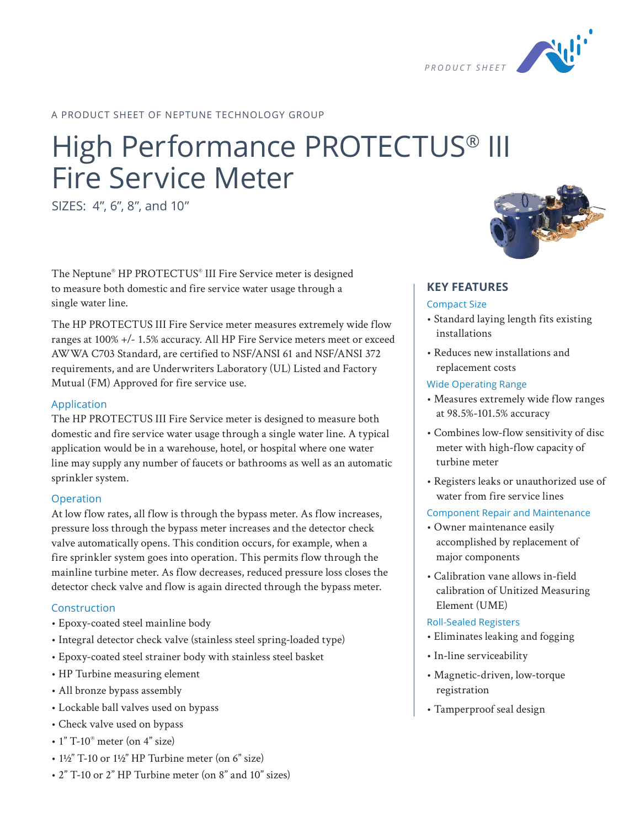

## A PRODUCT SHEET OF NEPTUNE TECHNOLOGY GROUP

# High Performance PROTECTUS® III Fire Service Meter

SIZES: 4", 6", 8", and 10"

The Neptune® HP PROTECTUS® III Fire Service meter is designed to measure both domestic and fire service water usage through a single water line.

The HP PROTECTUS III Fire Service meter measures extremely wide flow ranges at 100% +/- 1.5% accuracy. All HP Fire Service meters meet or exceed AWWA C703 Standard, are certified to NSF/ANSI 61 and NSF/ANSI 372 requirements, and are Underwriters Laboratory (UL) Listed and Factory Mutual (FM) Approved for fire service use.

#### Application

The HP PROTECTUS III Fire Service meter is designed to measure both domestic and fire service water usage through a single water line. A typical application would be in a warehouse, hotel, or hospital where one water line may supply any number of faucets or bathrooms as well as an automatic sprinkler system.

#### Operation

At low flow rates, all flow is through the bypass meter. As flow increases, pressure loss through the bypass meter increases and the detector check valve automatically opens. This condition occurs, for example, when a fire sprinkler system goes into operation. This permits flow through the mainline turbine meter. As flow decreases, reduced pressure loss closes the detector check valve and flow is again directed through the bypass meter.

#### Construction

- Epoxy-coated steel mainline body
- Integral detector check valve (stainless steel spring-loaded type)
- Epoxy-coated steel strainer body with stainless steel basket
- HP Turbine measuring element
- All bronze bypass assembly
- Lockable ball valves used on bypass
- Check valve used on bypass
- $\cdot$  1" T-10 $^{\circ}$  meter (on 4" size)
- $1\frac{1}{2}$ " T-10 or  $1\frac{1}{2}$ " HP Turbine meter (on 6" size)
- 2" T-10 or 2" HP Turbine meter (on 8" and 10" sizes)



## **KEY FEATURES**

### Compact Size

- Standard laying length fits existing installations
- Reduces new installations and replacement costs

#### Wide Operating Range

- Measures extremely wide flow ranges at 98.5%-101.5% accuracy
- Combines low-flow sensitivity of disc meter with high-flow capacity of turbine meter
- Registers leaks or unauthorized use of water from fire service lines

#### Component Repair and Maintenance

- Owner maintenance easily accomplished by replacement of major components
- Calibration vane allows in-field calibration of Unitized Measuring Element (UME)

#### Roll-Sealed Registers

- Eliminates leaking and fogging
- In-line serviceability
- Magnetic-driven, low-torque registration
- Tamperproof seal design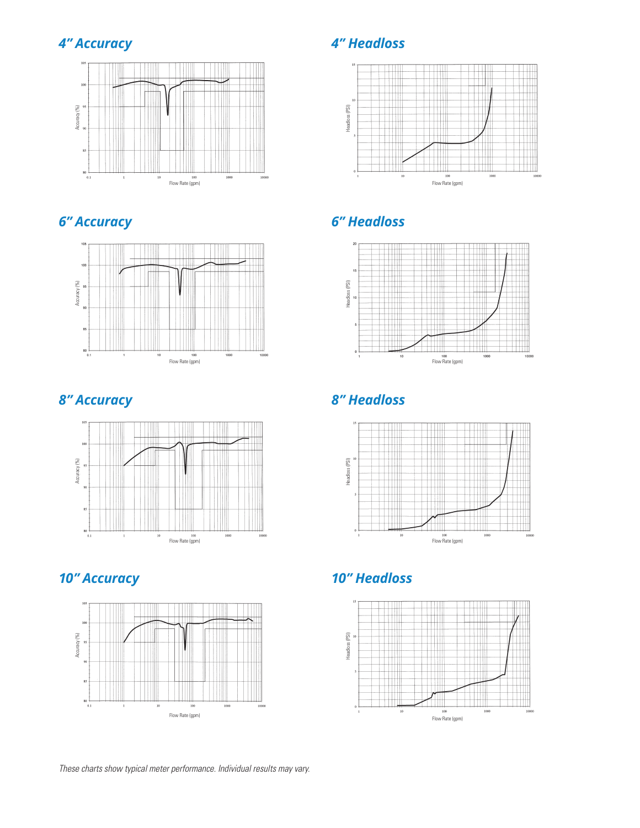## *4" Accuracy 4" Headloss*











## *6" Accuracy 6" Headloss*



## *8" Accuracy 8" Headloss*



## *10" Accuracy 10" Headloss*

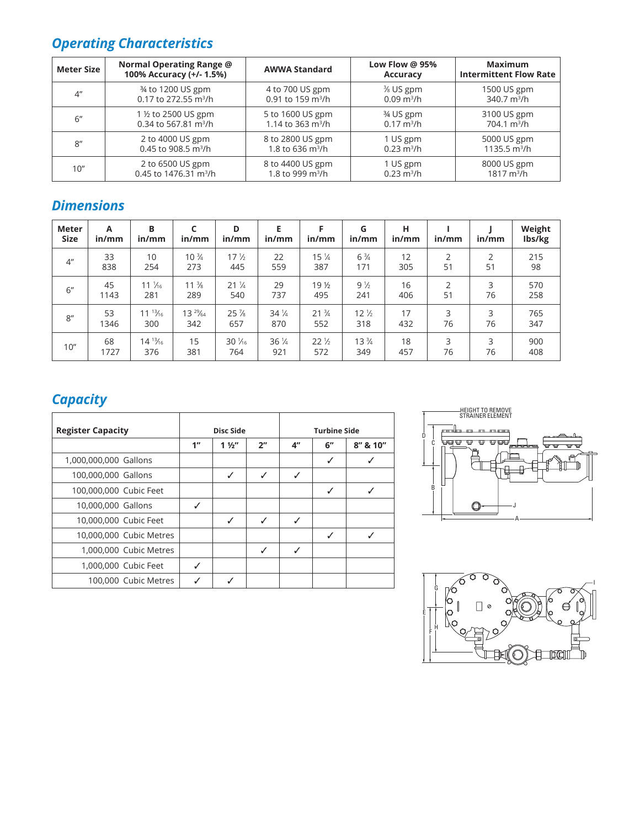## *Operating Characteristics*

| <b>Meter Size</b>  | Normal Operating Range @<br>100% Accuracy (+/- 1.5%) | <b>AWWA Standard</b>          | Low Flow @ 95%<br><b>Accuracy</b> | <b>Maximum</b><br><b>Intermittent Flow Rate</b> |  |
|--------------------|------------------------------------------------------|-------------------------------|-----------------------------------|-------------------------------------------------|--|
| $4^{\prime\prime}$ | 34 to 1200 US gpm                                    | 4 to 700 US gpm               | $%$ US gpm                        | 1500 US gpm                                     |  |
|                    | 0.17 to 272.55 m <sup>3</sup> /h                     | 0.91 to 159 $m^3/h$           | $0.09 \text{ m}^3/h$              | $340.7 \text{ m}^3/h$                           |  |
| 6"                 | 1 ½ to 2500 US gpm                                   | 5 to 1600 US gpm              | 3⁄4 US gpm                        | 3100 US gpm                                     |  |
|                    | 0.34 to 567.81 m <sup>3</sup> /h                     | 1.14 to 363 m <sup>3</sup> /h | $0.17 \text{ m}^3/h$              | $704.1 \text{ m}^3/h$                           |  |
| 8"                 | 2 to 4000 US gpm                                     | 8 to 2800 US gpm              | 1 US gpm                          | 5000 US gpm                                     |  |
|                    | 0.45 to 908.5 m <sup>3</sup> /h                      | 1.8 to 636 $m^3/h$            | $0.23 \text{ m}^3/h$              | 1135.5 $m^3/h$                                  |  |
| 10"                | 2 to 6500 US gpm                                     | 8 to 4400 US gpm              | 1 US gpm                          | 8000 US gpm                                     |  |
|                    | 0.45 to 1476.31 m <sup>3</sup> /h                    | 1.8 to 999 m <sup>3</sup> /h  | $0.23 \text{ m}^3/h$              | $1817 \text{ m}^3/h$                            |  |

## *Dimensions*

| Meter<br><b>Size</b> | A<br>in/mm | B<br>in/mm       | in/mm           | D<br>in/mm                     | Е<br>in/mm      | F<br>in/mm      | G<br>in/mm      | н<br>in/mm | in/mm          | in/mm          | Weight<br>Ibs/kg |
|----------------------|------------|------------------|-----------------|--------------------------------|-----------------|-----------------|-----------------|------------|----------------|----------------|------------------|
| 4 <sup>''</sup>      | 33         | 10               | $10\frac{3}{4}$ | 17 <sup>1</sup> / <sub>2</sub> | 22              | $15\frac{1}{4}$ | $6\frac{3}{4}$  | 12         | $\overline{2}$ | $\overline{2}$ | 215              |
|                      | 838        | 254              | 273             | 445                            | 559             | 387             | 171             | 305        | 51             | 51             | 98               |
| 6''                  | 45         | $11\frac{1}{16}$ | $11\frac{3}{8}$ | $21\frac{1}{4}$                | 29              | 19 <sub>2</sub> | $9\frac{1}{2}$  | 16         | $\overline{2}$ | 3              | 570              |
|                      | 1143       | 281              | 289             | 540                            | 737             | 495             | 241             | 406        | 51             | 76             | 258              |
| 8''                  | 53         | $11^{13}/16$     | $13^{29}/64$    | $25\%$                         | $34\frac{1}{4}$ | $21\frac{3}{4}$ | $12\frac{1}{2}$ | 17         | 3              | 3              | 765              |
|                      | 1346       | 300              | 342             | 657                            | 870             | 552             | 318             | 432        | 76             | 76             | 347              |
| 10"                  | 68         | $14^{13}/_{16}$  | 15              | $30\frac{1}{16}$               | $36\frac{1}{4}$ | $22\frac{1}{2}$ | $13\frac{3}{4}$ | 18         | 3              | 3              | 900              |
|                      | 1727       | 376              | 381             | 764                            | 921             | 572             | 349             | 457        | 76             | 76             | 408              |

## *Capacity*

| <b>Register Capacity</b> | Disc Side |                |                 | <b>Turbine Side</b> |    |          |
|--------------------------|-----------|----------------|-----------------|---------------------|----|----------|
|                          | 1"        | $1\frac{1}{2}$ | 2 <sup>''</sup> | $4^{\prime\prime}$  | 6" | 8" & 10" |
| 1,000,000,000 Gallons    |           |                |                 |                     | ✓  |          |
| 100,000,000 Gallons      |           | ✓              | ✓               | ✓                   |    |          |
| 100,000,000 Cubic Feet   |           |                |                 |                     | ✓  |          |
| 10,000,000 Gallons       | ✓         |                |                 |                     |    |          |
| 10,000,000 Cubic Feet    |           | ✓              | ✓               | ℐ                   |    |          |
| 10,000,000 Cubic Metres  |           |                |                 |                     | ✓  |          |
| 1,000,000 Cubic Metres   |           |                | ✓               | ℐ                   |    |          |
| 1,000,000 Cubic Feet     |           |                |                 |                     |    |          |
| 100,000 Cubic Metres     |           |                |                 |                     |    |          |